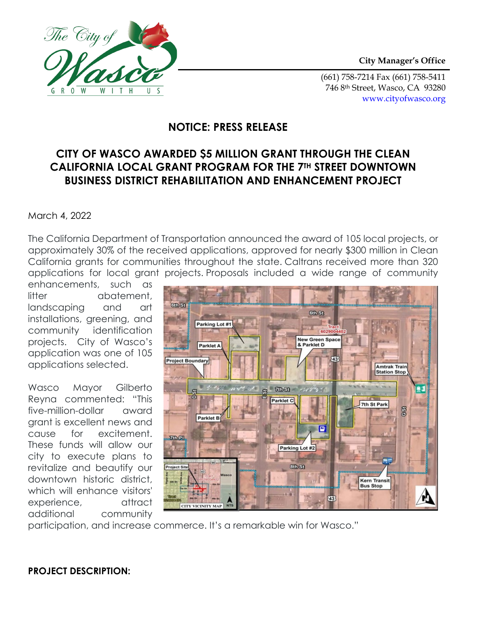

(661) 758-7214 Fax (661) 758-5411 746 8th Street, Wasco, CA 93280 www.cityofwasco.org

## **NOTICE: PRESS RELEASE**

# **CITY OF WASCO AWARDED \$5 MILLION GRANT THROUGH THE CLEAN CALIFORNIA LOCAL GRANT PROGRAM FOR THE 7TH STREET DOWNTOWN BUSINESS DISTRICT REHABILITATION AND ENHANCEMENT PROJECT**

#### March 4, 2022

The City of

 $\overline{W}$ 

 $\mathsf{T}$ 

S

 $G$   $R$   $O$   $W$ 

The California Department of Transportation announced the award of 105 local projects, or approximately 30% of the received applications, approved for nearly \$300 million in Clean California grants for communities throughout the state. Caltrans received more than 320 applications for local grant projects. Proposals included a wide range of community

enhancements, such as litter abatement, landscaping and art installations, greening, and community identification projects. City of Wasco's application was one of 105 applications selected.

Wasco Mayor Gilberto Reyna commented: "This five-million-dollar award grant is excellent news and cause for excitement. These funds will allow our city to execute plans to revitalize and beautify our downtown historic district, which will enhance visitors' experience, attract additional community



participation, and increase commerce. It's a remarkable win for Wasco."

### **PROJECT DESCRIPTION:**